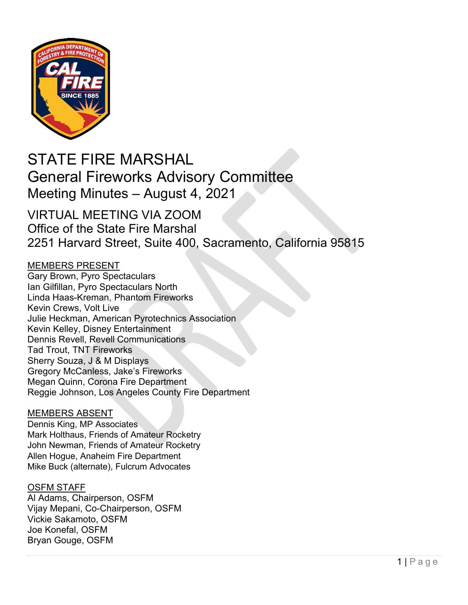

# STATE FIRE MARSHAL General Fireworks Advisory Committee Meeting Minutes – August 4, 2021

### VIRTUAL MEETING VIA ZOOM Office of the State Fire Marshal 2251 Harvard Street, Suite 400, Sacramento, California 95815

### MEMBERS PRESENT

Gary Brown, Pyro Spectaculars Ian Gilfillan, Pyro Spectaculars North Linda Haas-Kreman, Phantom Fireworks Kevin Crews, Volt Live Julie Heckman, American Pyrotechnics Association Kevin Kelley, Disney Entertainment Dennis Revell, Revell Communications Tad Trout, TNT Fireworks Sherry Souza, J & M Displays Gregory McCanless, Jake's Fireworks Megan Quinn, Corona Fire Department Reggie Johnson, Los Angeles County Fire Department

### MEMBERS ABSENT

Dennis King, MP Associates Mark Holthaus, Friends of Amateur Rocketry John Newman, Friends of Amateur Rocketry Allen Hogue, Anaheim Fire Department Mike Buck (alternate), Fulcrum Advocates

### OSFM STAFF

Al Adams, Chairperson, OSFM Vijay Mepani, Co-Chairperson, OSFM Vickie Sakamoto, OSFM Joe Konefal, OSFM Bryan Gouge, OSFM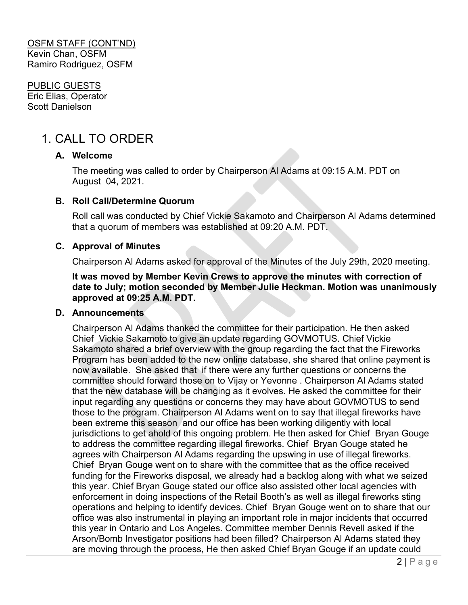PUBLIC GUESTS Eric Elias, Operator Scott Danielson

## 1. CALL TO ORDER

### **A. Welcome**

The meeting was called to order by Chairperson Al Adams at 09:15 A.M. PDT on August 04, 2021.

### **B. Roll Call/Determine Quorum**

Roll call was conducted by Chief Vickie Sakamoto and Chairperson Al Adams determined that a quorum of members was established at 09:20 A.M. PDT.

### **C. Approval of Minutes**

Chairperson Al Adams asked for approval of the Minutes of the July 29th, 2020 meeting.

**It was moved by Member Kevin Crews to approve the minutes with correction of date to July; motion seconded by Member Julie Heckman. Motion was unanimously approved at 09:25 A.M. PDT.** 

#### **D. Announcements**

Chairperson Al Adams thanked the committee for their participation. He then asked Chief Vickie Sakamoto to give an update regarding GOVMOTUS. Chief Vickie Sakamoto shared a brief overview with the group regarding the fact that the Fireworks Program has been added to the new online database, she shared that online payment is now available. She asked that if there were any further questions or concerns the committee should forward those on to Vijay or Yevonne . Chairperson Al Adams stated that the new database will be changing as it evolves. He asked the committee for their input regarding any questions or concerns they may have about GOVMOTUS to send those to the program. Chairperson Al Adams went on to say that illegal fireworks have been extreme this season and our office has been working diligently with local jurisdictions to get ahold of this ongoing problem. He then asked for Chief Bryan Gouge to address the committee regarding illegal fireworks. Chief Bryan Gouge stated he agrees with Chairperson Al Adams regarding the upswing in use of illegal fireworks. Chief Bryan Gouge went on to share with the committee that as the office received funding for the Fireworks disposal, we already had a backlog along with what we seized this year. Chief Bryan Gouge stated our office also assisted other local agencies with enforcement in doing inspections of the Retail Booth's as well as illegal fireworks sting operations and helping to identify devices. Chief Bryan Gouge went on to share that our office was also instrumental in playing an important role in major incidents that occurred this year in Ontario and Los Angeles. Committee member Dennis Revell asked if the Arson/Bomb Investigator positions had been filled? Chairperson Al Adams stated they are moving through the process, He then asked Chief Bryan Gouge if an update could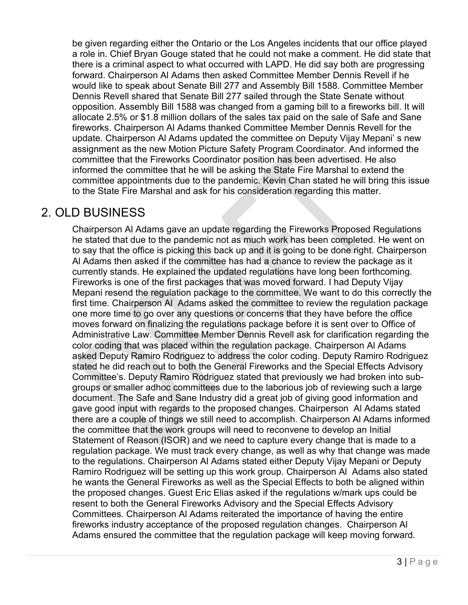be given regarding either the Ontario or the Los Angeles incidents that our office played a role in. Chief Bryan Gouge stated that he could not make a comment. He did state that there is a criminal aspect to what occurred with LAPD. He did say both are progressing forward. Chairperson Al Adams then asked Committee Member Dennis Revell if he would like to speak about Senate Bill 277 and Assembly Bill 1588. Committee Member Dennis Revell shared that Senate Bill 277 sailed through the State Senate without opposition. Assembly Bill 1588 was changed from a gaming bill to a fireworks bill. It will allocate 2.5% or \$1.8 million dollars of the sales tax paid on the sale of Safe and Sane fireworks. Chairperson Al Adams thanked Committee Member Dennis Revell for the update. Chairperson Al Adams updated the committee on Deputy Vijay Mepani' s new assignment as the new Motion Picture Safety Program Coordinator. And informed the committee that the Fireworks Coordinator position has been advertised. He also informed the committee that he will be asking the State Fire Marshal to extend the committee appointments due to the pandemic. Kevin Chan stated he will bring this issue to the State Fire Marshal and ask for his consideration regarding this matter.

### 2. OLD BUSINESS

Chairperson Al Adams gave an update regarding the Fireworks Proposed Regulations he stated that due to the pandemic not as much work has been completed. He went on to say that the office is picking this back up and it is going to be done right. Chairperson Al Adams then asked if the committee has had a chance to review the package as it currently stands. He explained the updated regulations have long been forthcoming. Fireworks is one of the first packages that was moved forward. I had Deputy Vijay Mepani resend the regulation package to the committee. We want to do this correctly the first time. Chairperson Al Adams asked the committee to review the regulation package one more time to go over any questions or concerns that they have before the office moves forward on finalizing the regulations package before it is sent over to Office of Administrative Law. Committee Member Dennis Revell ask for clarification regarding the color coding that was placed within the regulation package. Chairperson Al Adams asked Deputy Ramiro Rodriguez to address the color coding. Deputy Ramiro Rodriguez stated he did reach out to both the General Fireworks and the Special Effects Advisory Committee's. Deputy Ramiro Rodriguez stated that previously we had broken into subgroups or smaller adhoc committees due to the laborious job of reviewing such a large document. The Safe and Sane Industry did a great job of giving good information and gave good input with regards to the proposed changes. Chairperson Al Adams stated there are a couple of things we still need to accomplish. Chairperson Al Adams informed the committee that the work groups will need to reconvene to develop an Initial Statement of Reason (ISOR) and we need to capture every change that is made to a regulation package. We must track every change, as well as why that change was made to the regulations. Chairperson Al Adams stated either Deputy Vijay Mepani or Deputy Ramiro Rodriguez will be setting up this work group. Chairperson Al Adams also stated he wants the General Fireworks as well as the Special Effects to both be aligned within the proposed changes. Guest Eric Elias asked if the regulations w/mark ups could be resent to both the General Fireworks Advisory and the Special Effects Advisory Committees. Chairperson Al Adams reiterated the importance of having the entire fireworks industry acceptance of the proposed regulation changes. Chairperson Al Adams ensured the committee that the regulation package will keep moving forward.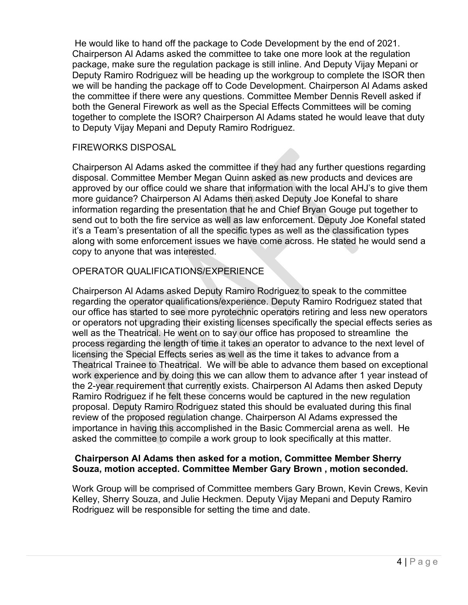He would like to hand off the package to Code Development by the end of 2021. Chairperson Al Adams asked the committee to take one more look at the regulation package, make sure the regulation package is still inline. And Deputy Vijay Mepani or Deputy Ramiro Rodriguez will be heading up the workgroup to complete the ISOR then we will be handing the package off to Code Development. Chairperson Al Adams asked the committee if there were any questions. Committee Member Dennis Revell asked if both the General Firework as well as the Special Effects Committees will be coming together to complete the ISOR? Chairperson Al Adams stated he would leave that duty to Deputy Vijay Mepani and Deputy Ramiro Rodriguez.

### FIREWORKS DISPOSAL

Chairperson Al Adams asked the committee if they had any further questions regarding disposal. Committee Member Megan Quinn asked as new products and devices are approved by our office could we share that information with the local AHJ's to give them more guidance? Chairperson Al Adams then asked Deputy Joe Konefal to share information regarding the presentation that he and Chief Bryan Gouge put together to send out to both the fire service as well as law enforcement. Deputy Joe Konefal stated it's a Team's presentation of all the specific types as well as the classification types along with some enforcement issues we have come across. He stated he would send a copy to anyone that was interested.

### OPERATOR QUALIFICATIONS/EXPERIENCE

Chairperson Al Adams asked Deputy Ramiro Rodriguez to speak to the committee regarding the operator qualifications/experience. Deputy Ramiro Rodriguez stated that our office has started to see more pyrotechnic operators retiring and less new operators or operators not upgrading their existing licenses specifically the special effects series as well as the Theatrical. He went on to say our office has proposed to streamline the process regarding the length of time it takes an operator to advance to the next level of licensing the Special Effects series as well as the time it takes to advance from a Theatrical Trainee to Theatrical. We will be able to advance them based on exceptional work experience and by doing this we can allow them to advance after 1 year instead of the 2-year requirement that currently exists. Chairperson Al Adams then asked Deputy Ramiro Rodriguez if he felt these concerns would be captured in the new regulation proposal. Deputy Ramiro Rodriguez stated this should be evaluated during this final review of the proposed regulation change. Chairperson Al Adams expressed the importance in having this accomplished in the Basic Commercial arena as well. He asked the committee to compile a work group to look specifically at this matter.

### **Chairperson Al Adams then asked for a motion, Committee Member Sherry Souza, motion accepted. Committee Member Gary Brown , motion seconded.**

Work Group will be comprised of Committee members Gary Brown, Kevin Crews, Kevin Kelley, Sherry Souza, and Julie Heckmen. Deputy Vijay Mepani and Deputy Ramiro Rodriguez will be responsible for setting the time and date.